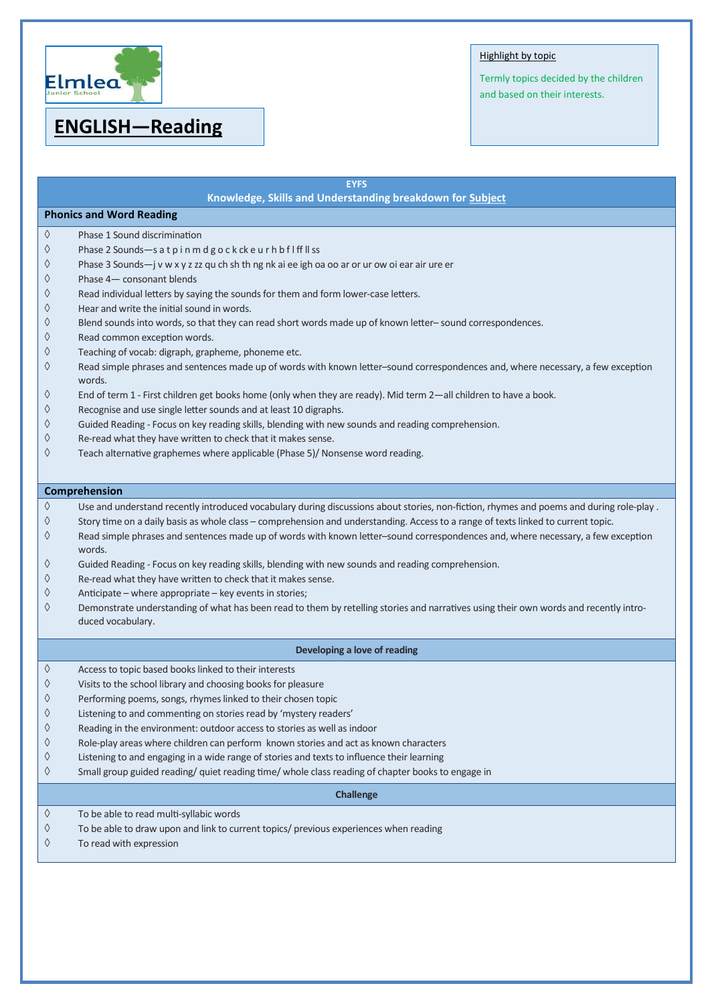

# **ENGLISH—Reading**

### Highlight by topic

Termly topics decided by the children and based on their interests.

| <b>EYFS</b>                                               |                                                                                                                                                            |  |
|-----------------------------------------------------------|------------------------------------------------------------------------------------------------------------------------------------------------------------|--|
| Knowledge, Skills and Understanding breakdown for Subject |                                                                                                                                                            |  |
| <b>Phonics and Word Reading</b>                           |                                                                                                                                                            |  |
| ♦                                                         | Phase 1 Sound discrimination                                                                                                                               |  |
| ♦                                                         | Phase 2 Sounds-s at pinmdgockckeurhbflffllss                                                                                                               |  |
| ♦                                                         | Phase 3 Sounds-j v w x y z zz qu ch sh th ng nk ai ee igh oa oo ar or ur ow oi ear air ure er                                                              |  |
| ♦                                                         | Phase 4- consonant blends                                                                                                                                  |  |
| ♦                                                         | Read individual letters by saying the sounds for them and form lower-case letters.                                                                         |  |
| ♦                                                         | Hear and write the initial sound in words.                                                                                                                 |  |
| ♦                                                         | Blend sounds into words, so that they can read short words made up of known letter-sound correspondences.                                                  |  |
| ♦                                                         | Read common exception words.                                                                                                                               |  |
| ♦                                                         | Teaching of vocab: digraph, grapheme, phoneme etc.                                                                                                         |  |
| ♦                                                         | Read simple phrases and sentences made up of words with known letter-sound correspondences and, where necessary, a few exception<br>words.                 |  |
| ♦                                                         | End of term 1 - First children get books home (only when they are ready). Mid term 2—all children to have a book.                                          |  |
| ♦                                                         | Recognise and use single letter sounds and at least 10 digraphs.                                                                                           |  |
| ♦                                                         | Guided Reading - Focus on key reading skills, blending with new sounds and reading comprehension.                                                          |  |
| ♦                                                         | Re-read what they have written to check that it makes sense.                                                                                               |  |
| ♦                                                         | Teach alternative graphemes where applicable (Phase 5)/ Nonsense word reading.                                                                             |  |
|                                                           |                                                                                                                                                            |  |
|                                                           | Comprehension                                                                                                                                              |  |
| ♦                                                         | Use and understand recently introduced vocabulary during discussions about stories, non-fiction, rhymes and poems and during role-play.                    |  |
| ♦                                                         | Story time on a daily basis as whole class - comprehension and understanding. Access to a range of texts linked to current topic.                          |  |
| ♦                                                         | Read simple phrases and sentences made up of words with known letter-sound correspondences and, where necessary, a few exception<br>words.                 |  |
| ♦                                                         | Guided Reading - Focus on key reading skills, blending with new sounds and reading comprehension.                                                          |  |
| ♦                                                         | Re-read what they have written to check that it makes sense.                                                                                               |  |
| ♦                                                         | Anticipate – where appropriate – key events in stories;                                                                                                    |  |
| ♦                                                         | Demonstrate understanding of what has been read to them by retelling stories and narratives using their own words and recently intro-<br>duced vocabulary. |  |
|                                                           |                                                                                                                                                            |  |
|                                                           | Developing a love of reading                                                                                                                               |  |
| ♦                                                         | Access to topic based books linked to their interests                                                                                                      |  |
| ♦                                                         | Visits to the school library and choosing books for pleasure                                                                                               |  |
| ♦                                                         | Performing poems, songs, rhymes linked to their chosen topic                                                                                               |  |
| ♦                                                         | Listening to and commenting on stories read by 'mystery readers'                                                                                           |  |
| $\Diamond$                                                | Reading in the environment: outdoor access to stories as well as indoor                                                                                    |  |
| $\Diamond$                                                | Role-play areas where children can perform known stories and act as known characters                                                                       |  |
| $\Diamond$                                                | Listening to and engaging in a wide range of stories and texts to influence their learning                                                                 |  |
| ♦                                                         | Small group guided reading/ quiet reading time/ whole class reading of chapter books to engage in                                                          |  |
| <b>Challenge</b>                                          |                                                                                                                                                            |  |
| $\Diamond$                                                | To be able to read multi-syllabic words                                                                                                                    |  |
| ♦                                                         | To be able to draw upon and link to current topics/ previous experiences when reading                                                                      |  |
| ♦                                                         | To read with expression                                                                                                                                    |  |
|                                                           |                                                                                                                                                            |  |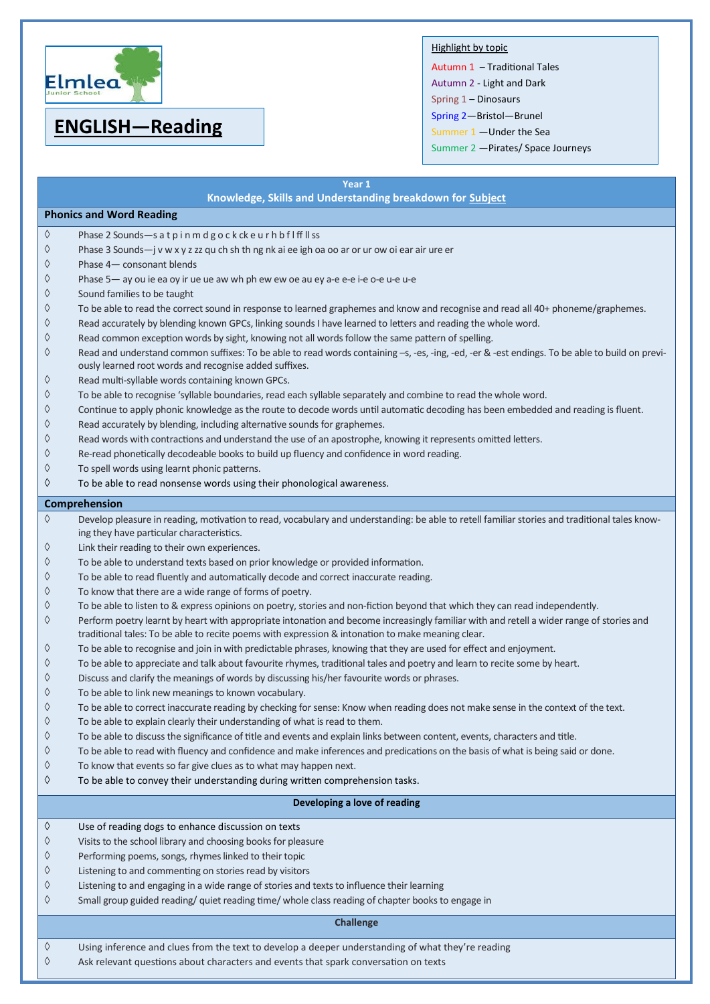

# **ENGLISH—Reading**

### Highlight by topic

Autumn 1 – Traditional Tales Autumn 2 - Light and Dark Spring 1 – Dinosaurs Spring 2—Bristol—Brunel Summer 1 —Under the Sea Summer 2 —Pirates/ Space Journeys

|                                 | Year 1<br>Knowledge, Skills and Understanding breakdown for Subject                                                                                                                                                                                                      |  |
|---------------------------------|--------------------------------------------------------------------------------------------------------------------------------------------------------------------------------------------------------------------------------------------------------------------------|--|
| <b>Phonics and Word Reading</b> |                                                                                                                                                                                                                                                                          |  |
| ♦                               | Phase 2 Sounds-s at pinmdgockckeurhbflffllss                                                                                                                                                                                                                             |  |
| ♦                               | Phase 3 Sounds-j v w x y z zz qu ch sh th ng nk ai ee igh oa oo ar or ur ow oi ear air ure er                                                                                                                                                                            |  |
| ♦                               | Phase 4- consonant blends                                                                                                                                                                                                                                                |  |
| ♦                               | Phase 5- ay ou ie ea oy ir ue ue aw wh ph ew ew oe au ey a-e e-e i-e o-e u-e u-e                                                                                                                                                                                         |  |
| ♦                               | Sound families to be taught                                                                                                                                                                                                                                              |  |
| ♦                               | To be able to read the correct sound in response to learned graphemes and know and recognise and read all 40+ phoneme/graphemes.                                                                                                                                         |  |
| ♦                               | Read accurately by blending known GPCs, linking sounds I have learned to letters and reading the whole word.                                                                                                                                                             |  |
| ♦                               | Read common exception words by sight, knowing not all words follow the same pattern of spelling.                                                                                                                                                                         |  |
| ♦                               | Read and understand common suffixes: To be able to read words containing -s, -es, -ing, -ed, -er & -est endings. To be able to build on previ-                                                                                                                           |  |
|                                 | ously learned root words and recognise added suffixes.                                                                                                                                                                                                                   |  |
| ♦                               | Read multi-syllable words containing known GPCs.                                                                                                                                                                                                                         |  |
| ♦                               | To be able to recognise 'syllable boundaries, read each syllable separately and combine to read the whole word.                                                                                                                                                          |  |
| ♦                               | Continue to apply phonic knowledge as the route to decode words until automatic decoding has been embedded and reading is fluent.                                                                                                                                        |  |
| ♦                               | Read accurately by blending, including alternative sounds for graphemes.                                                                                                                                                                                                 |  |
| ♦                               | Read words with contractions and understand the use of an apostrophe, knowing it represents omitted letters.                                                                                                                                                             |  |
| ♦                               | Re-read phonetically decodeable books to build up fluency and confidence in word reading.                                                                                                                                                                                |  |
| ♦                               | To spell words using learnt phonic patterns.                                                                                                                                                                                                                             |  |
| ♦                               | To be able to read nonsense words using their phonological awareness.                                                                                                                                                                                                    |  |
|                                 | Comprehension                                                                                                                                                                                                                                                            |  |
| ♦                               | Develop pleasure in reading, motivation to read, vocabulary and understanding: be able to retell familiar stories and traditional tales know-                                                                                                                            |  |
|                                 | ing they have particular characteristics.                                                                                                                                                                                                                                |  |
| ♦                               | Link their reading to their own experiences.                                                                                                                                                                                                                             |  |
| ♦                               | To be able to understand texts based on prior knowledge or provided information.                                                                                                                                                                                         |  |
| ♦                               | To be able to read fluently and automatically decode and correct inaccurate reading.                                                                                                                                                                                     |  |
| ♦<br>♦                          | To know that there are a wide range of forms of poetry.                                                                                                                                                                                                                  |  |
| ♦                               | To be able to listen to & express opinions on poetry, stories and non-fiction beyond that which they can read independently.<br>Perform poetry learnt by heart with appropriate intonation and become increasingly familiar with and retell a wider range of stories and |  |
|                                 | traditional tales: To be able to recite poems with expression & intonation to make meaning clear.                                                                                                                                                                        |  |
| ♦                               | To be able to recognise and join in with predictable phrases, knowing that they are used for effect and enjoyment.                                                                                                                                                       |  |
| ♦                               | To be able to appreciate and talk about favourite rhymes, traditional tales and poetry and learn to recite some by heart.                                                                                                                                                |  |
| ♦                               | Discuss and clarify the meanings of words by discussing his/her favourite words or phrases.                                                                                                                                                                              |  |
| ♦                               | To be able to link new meanings to known vocabulary.                                                                                                                                                                                                                     |  |
| ♦                               | To be able to correct inaccurate reading by checking for sense: Know when reading does not make sense in the context of the text.                                                                                                                                        |  |
| ♦                               | To be able to explain clearly their understanding of what is read to them.                                                                                                                                                                                               |  |
| ♦                               | To be able to discuss the significance of title and events and explain links between content, events, characters and title.                                                                                                                                              |  |
| ♦<br>♦                          | To be able to read with fluency and confidence and make inferences and predications on the basis of what is being said or done.<br>To know that events so far give clues as to what may happen next.                                                                     |  |
| ♦                               | To be able to convey their understanding during written comprehension tasks.                                                                                                                                                                                             |  |
|                                 |                                                                                                                                                                                                                                                                          |  |
|                                 | Developing a love of reading                                                                                                                                                                                                                                             |  |
| ♦                               | Use of reading dogs to enhance discussion on texts                                                                                                                                                                                                                       |  |
| ♦                               | Visits to the school library and choosing books for pleasure                                                                                                                                                                                                             |  |
| ♦                               | Performing poems, songs, rhymes linked to their topic                                                                                                                                                                                                                    |  |
| ♦                               | Listening to and commenting on stories read by visitors                                                                                                                                                                                                                  |  |
| ♦                               | Listening to and engaging in a wide range of stories and texts to influence their learning                                                                                                                                                                               |  |
| ♦                               | Small group guided reading/ quiet reading time/ whole class reading of chapter books to engage in                                                                                                                                                                        |  |
| <b>Challenge</b>                |                                                                                                                                                                                                                                                                          |  |
| ♦                               | Using inference and clues from the text to develop a deeper understanding of what they're reading                                                                                                                                                                        |  |
| ♦                               | Ask relevant questions about characters and events that spark conversation on texts                                                                                                                                                                                      |  |